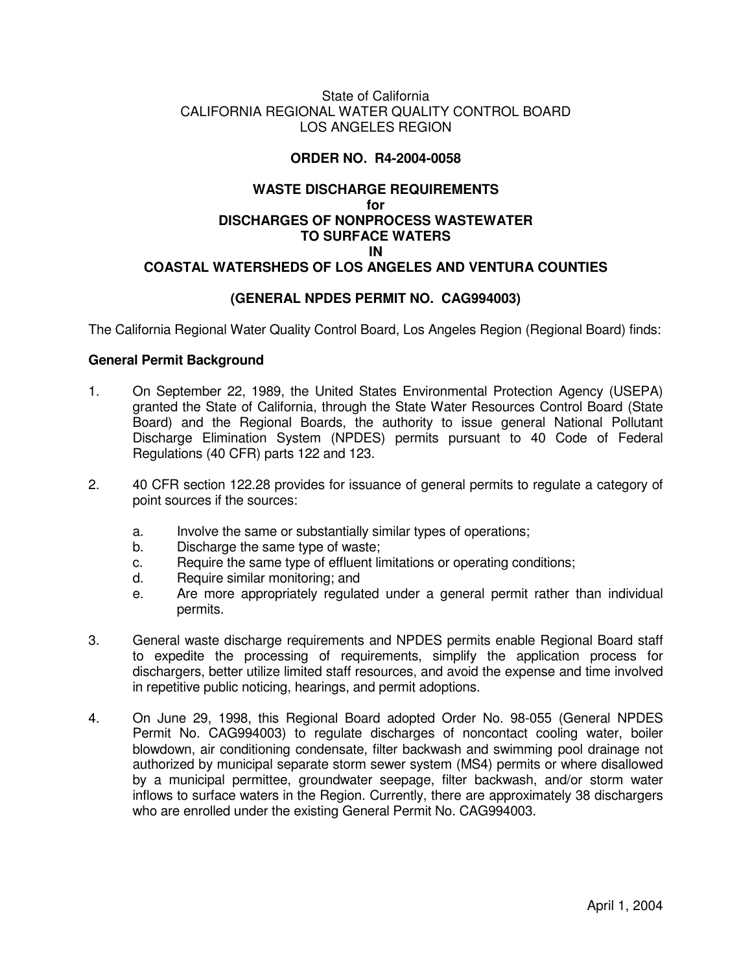#### State of California CALIFORNIA REGIONAL WATER QUALITY CONTROL BOARD LOS ANGELES REGION

#### **ORDER NO. R4-2004-0058**

### **WASTE DISCHARGE REQUIREMENTS for DISCHARGES OF NONPROCESS WASTEWATER TO SURFACE WATERS IN COASTAL WATERSHEDS OF LOS ANGELES AND VENTURA COUNTIES**

## **(GENERAL NPDES PERMIT NO. CAG994003)**

The California Regional Water Quality Control Board, Los Angeles Region (Regional Board) finds:

#### **General Permit Background**

- 1. On September 22, 1989, the United States Environmental Protection Agency (USEPA) granted the State of California, through the State Water Resources Control Board (State Board) and the Regional Boards, the authority to issue general National Pollutant Discharge Elimination System (NPDES) permits pursuant to 40 Code of Federal Regulations (40 CFR) parts 122 and 123.
- 2. 40 CFR section 122.28 provides for issuance of general permits to regulate a category of point sources if the sources:
	- a. Involve the same or substantially similar types of operations;
	- b. Discharge the same type of waste;
	- c. Require the same type of effluent limitations or operating conditions;
	- d. Require similar monitoring; and
	- e. Are more appropriately regulated under a general permit rather than individual permits.
- 3. General waste discharge requirements and NPDES permits enable Regional Board staff to expedite the processing of requirements, simplify the application process for dischargers, better utilize limited staff resources, and avoid the expense and time involved in repetitive public noticing, hearings, and permit adoptions.
- 4. On June 29, 1998, this Regional Board adopted Order No. 98-055 (General NPDES Permit No. CAG994003) to regulate discharges of noncontact cooling water, boiler blowdown, air conditioning condensate, filter backwash and swimming pool drainage not authorized by municipal separate storm sewer system (MS4) permits or where disallowed by a municipal permittee, groundwater seepage, filter backwash, and/or storm water inflows to surface waters in the Region. Currently, there are approximately 38 dischargers who are enrolled under the existing General Permit No. CAG994003.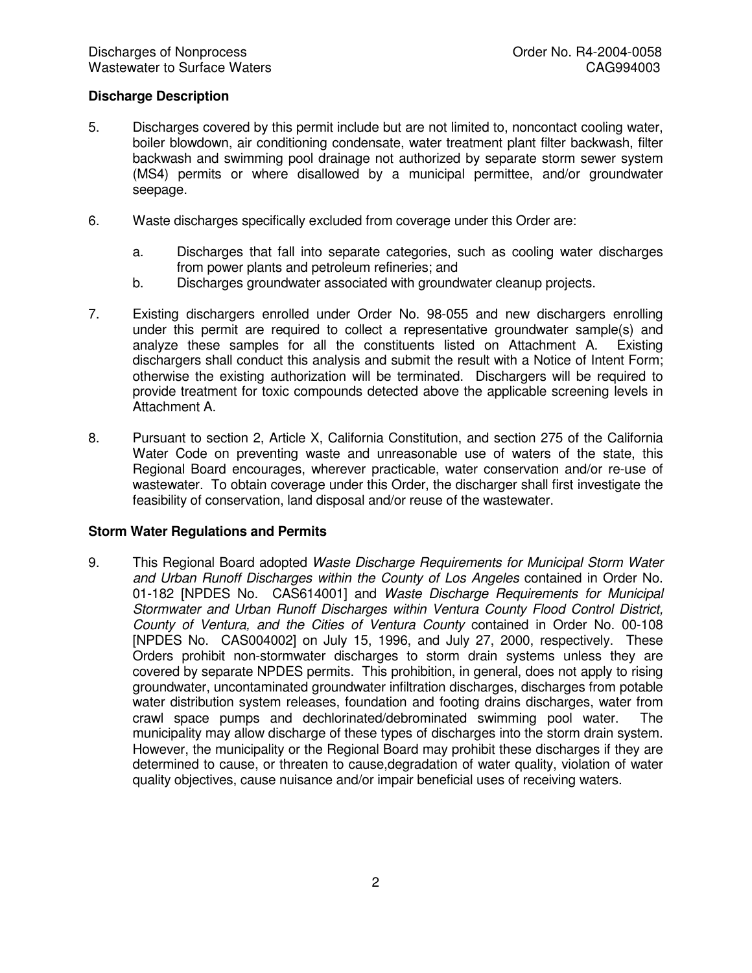### **Discharge Description**

- 5. Discharges covered by this permit include but are not limited to, noncontact cooling water, boiler blowdown, air conditioning condensate, water treatment plant filter backwash, filter backwash and swimming pool drainage not authorized by separate storm sewer system (MS4) permits or where disallowed by a municipal permittee, and/or groundwater seepage.
- 6. Waste discharges specifically excluded from coverage under this Order are:
	- a. Discharges that fall into separate categories, such as cooling water discharges from power plants and petroleum refineries; and
	- b. Discharges groundwater associated with groundwater cleanup projects.
- 7. Existing dischargers enrolled under Order No. 98-055 and new dischargers enrolling under this permit are required to collect a representative groundwater sample(s) and analyze these samples for all the constituents listed on Attachment A. Existing dischargers shall conduct this analysis and submit the result with a Notice of Intent Form; otherwise the existing authorization will be terminated. Dischargers will be required to provide treatment for toxic compounds detected above the applicable screening levels in Attachment A.
- 8. Pursuant to section 2, Article X, California Constitution, and section 275 of the California Water Code on preventing waste and unreasonable use of waters of the state, this Regional Board encourages, wherever practicable, water conservation and/or re-use of wastewater. To obtain coverage under this Order, the discharger shall first investigate the feasibility of conservation, land disposal and/or reuse of the wastewater.

#### **Storm Water Regulations and Permits**

9. This Regional Board adopted *Waste Discharge Requirements for Municipal Storm Water and Urban Runoff Discharges within the County of Los Angeles* contained in Order No. 01-182 [NPDES No. CAS614001] and *Waste Discharge Requirements for Municipal Stormwater and Urban Runoff Discharges within Ventura County Flood Control District, County of Ventura, and the Cities of Ventura County* contained in Order No. 00-108 [NPDES No. CAS004002] on July 15, 1996, and July 27, 2000, respectively. These Orders prohibit non-stormwater discharges to storm drain systems unless they are covered by separate NPDES permits. This prohibition, in general, does not apply to rising groundwater, uncontaminated groundwater infiltration discharges, discharges from potable water distribution system releases, foundation and footing drains discharges, water from crawl space pumps and dechlorinated/debrominated swimming pool water. The municipality may allow discharge of these types of discharges into the storm drain system. However, the municipality or the Regional Board may prohibit these discharges if they are determined to cause, or threaten to cause,degradation of water quality, violation of water quality objectives, cause nuisance and/or impair beneficial uses of receiving waters.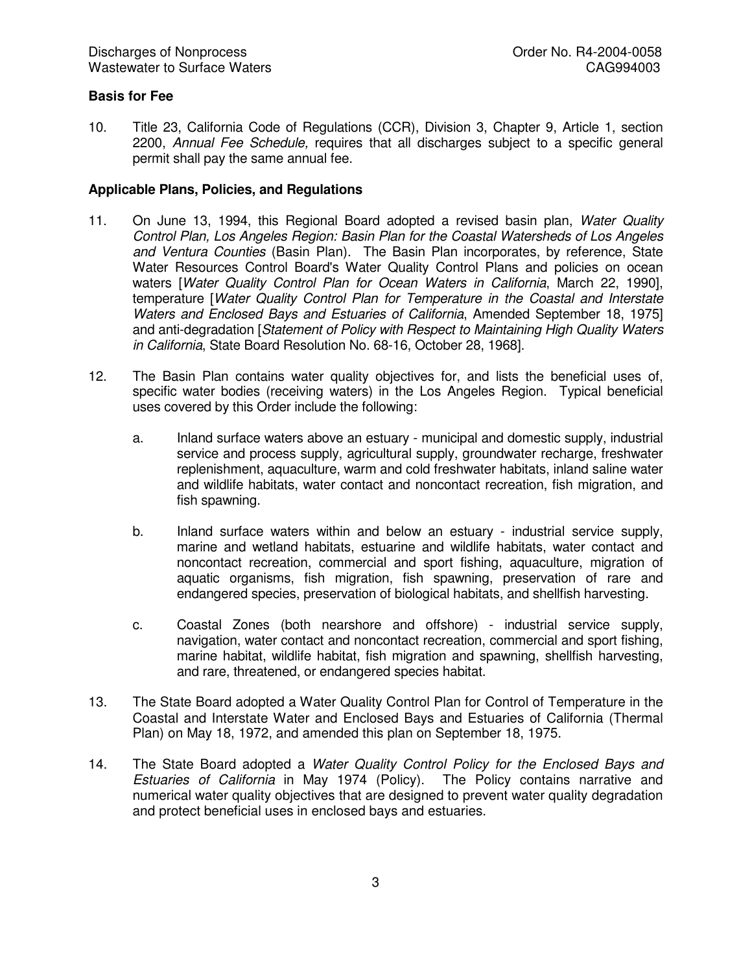## **Basis for Fee**

10. Title 23, California Code of Regulations (CCR), Division 3, Chapter 9, Article 1, section 2200, *Annual Fee Schedule,* requires that all discharges subject to a specific general permit shall pay the same annual fee.

#### **Applicable Plans, Policies, and Regulations**

- 11. On June 13, 1994, this Regional Board adopted a revised basin plan, *Water Quality Control Plan, Los Angeles Region: Basin Plan for the Coastal Watersheds of Los Angeles and Ventura Counties* (Basin Plan). The Basin Plan incorporates, by reference, State Water Resources Control Board's Water Quality Control Plans and policies on ocean waters [*Water Quality Control Plan for Ocean Waters in California*, March 22, 1990], temperature [*Water Quality Control Plan for Temperature in the Coastal and Interstate Waters and Enclosed Bays and Estuaries of California*, Amended September 18, 1975] and anti-degradation [*Statement of Policy with Respect to Maintaining High Quality Waters in California*, State Board Resolution No. 68-16, October 28, 1968].
- 12. The Basin Plan contains water quality objectives for, and lists the beneficial uses of, specific water bodies (receiving waters) in the Los Angeles Region. Typical beneficial uses covered by this Order include the following:
	- a. Inland surface waters above an estuary municipal and domestic supply, industrial service and process supply, agricultural supply, groundwater recharge, freshwater replenishment, aquaculture, warm and cold freshwater habitats, inland saline water and wildlife habitats, water contact and noncontact recreation, fish migration, and fish spawning.
	- b. Inland surface waters within and below an estuary industrial service supply, marine and wetland habitats, estuarine and wildlife habitats, water contact and noncontact recreation, commercial and sport fishing, aquaculture, migration of aquatic organisms, fish migration, fish spawning, preservation of rare and endangered species, preservation of biological habitats, and shellfish harvesting.
	- c. Coastal Zones (both nearshore and offshore) industrial service supply, navigation, water contact and noncontact recreation, commercial and sport fishing, marine habitat, wildlife habitat, fish migration and spawning, shellfish harvesting, and rare, threatened, or endangered species habitat.
- 13. The State Board adopted a Water Quality Control Plan for Control of Temperature in the Coastal and Interstate Water and Enclosed Bays and Estuaries of California (Thermal Plan) on May 18, 1972, and amended this plan on September 18, 1975.
- 14. The State Board adopted a *Water Quality Control Policy for the Enclosed Bays and Estuaries of California* in May 1974 (Policy). The Policy contains narrative and numerical water quality objectives that are designed to prevent water quality degradation and protect beneficial uses in enclosed bays and estuaries.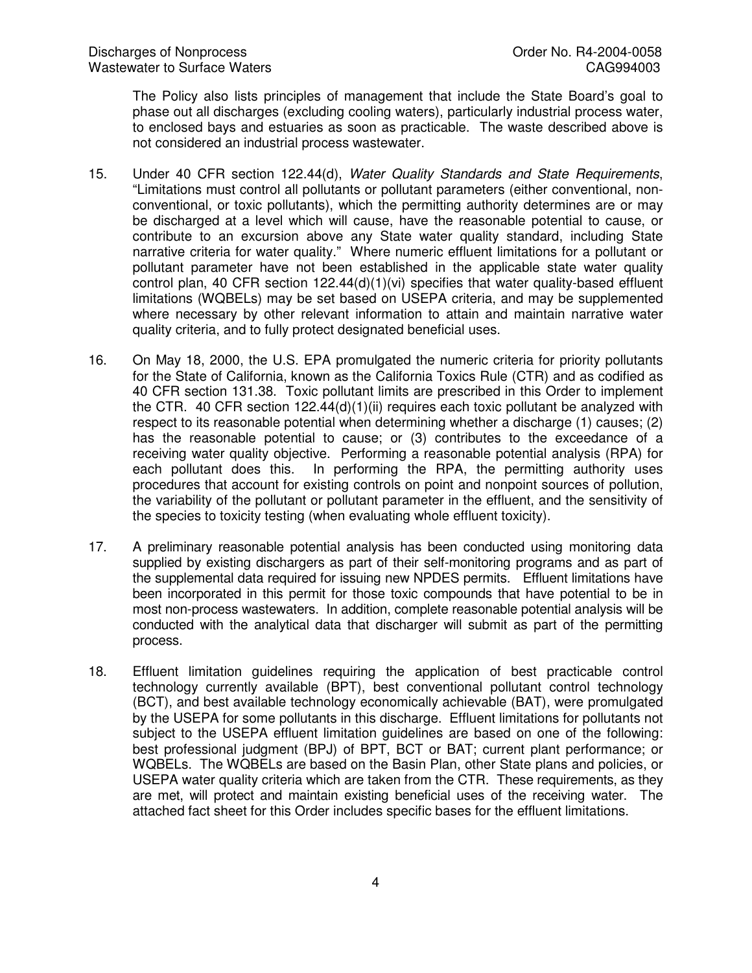The Policy also lists principles of management that include the State Board's goal to phase out all discharges (excluding cooling waters), particularly industrial process water, to enclosed bays and estuaries as soon as practicable. The waste described above is not considered an industrial process wastewater.

- 15. Under 40 CFR section 122.44(d), *Water Quality Standards and State Requirements*, "Limitations must control all pollutants or pollutant parameters (either conventional, nonconventional, or toxic pollutants), which the permitting authority determines are or may be discharged at a level which will cause, have the reasonable potential to cause, or contribute to an excursion above any State water quality standard, including State narrative criteria for water quality." Where numeric effluent limitations for a pollutant or pollutant parameter have not been established in the applicable state water quality control plan, 40 CFR section 122.44(d)(1)(vi) specifies that water quality-based effluent limitations (WQBELs) may be set based on USEPA criteria, and may be supplemented where necessary by other relevant information to attain and maintain narrative water quality criteria, and to fully protect designated beneficial uses.
- 16. On May 18, 2000, the U.S. EPA promulgated the numeric criteria for priority pollutants for the State of California, known as the California Toxics Rule (CTR) and as codified as 40 CFR section 131.38. Toxic pollutant limits are prescribed in this Order to implement the CTR. 40 CFR section 122.44(d)(1)(ii) requires each toxic pollutant be analyzed with respect to its reasonable potential when determining whether a discharge (1) causes; (2) has the reasonable potential to cause; or (3) contributes to the exceedance of a receiving water quality objective. Performing a reasonable potential analysis (RPA) for each pollutant does this. In performing the RPA, the permitting authority uses procedures that account for existing controls on point and nonpoint sources of pollution, the variability of the pollutant or pollutant parameter in the effluent, and the sensitivity of the species to toxicity testing (when evaluating whole effluent toxicity).
- 17. A preliminary reasonable potential analysis has been conducted using monitoring data supplied by existing dischargers as part of their self-monitoring programs and as part of the supplemental data required for issuing new NPDES permits. Effluent limitations have been incorporated in this permit for those toxic compounds that have potential to be in most non-process wastewaters. In addition, complete reasonable potential analysis will be conducted with the analytical data that discharger will submit as part of the permitting process.
- 18. Effluent limitation guidelines requiring the application of best practicable control technology currently available (BPT), best conventional pollutant control technology (BCT), and best available technology economically achievable (BAT), were promulgated by the USEPA for some pollutants in this discharge. Effluent limitations for pollutants not subject to the USEPA effluent limitation guidelines are based on one of the following: best professional judgment (BPJ) of BPT, BCT or BAT; current plant performance; or WQBELs. The WQBELs are based on the Basin Plan, other State plans and policies, or USEPA water quality criteria which are taken from the CTR. These requirements, as they are met, will protect and maintain existing beneficial uses of the receiving water. The attached fact sheet for this Order includes specific bases for the effluent limitations.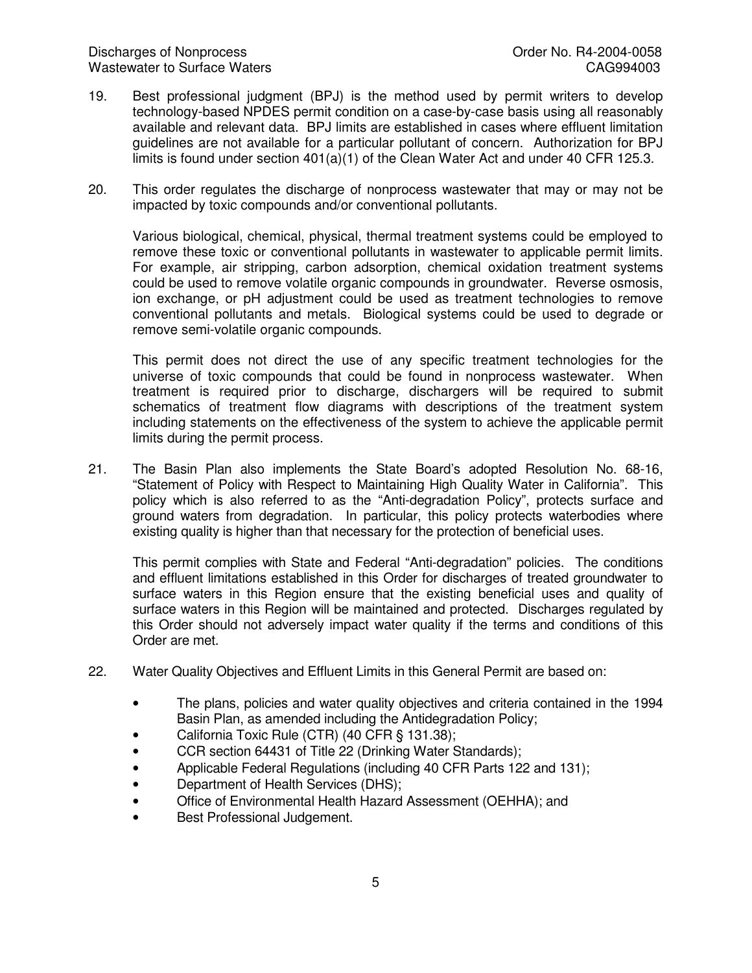- 19. Best professional judgment (BPJ) is the method used by permit writers to develop technology-based NPDES permit condition on a case-by-case basis using all reasonably available and relevant data. BPJ limits are established in cases where effluent limitation guidelines are not available for a particular pollutant of concern. Authorization for BPJ limits is found under section  $401(a)(1)$  of the Clean Water Act and under 40 CFR 125.3.
- 20. This order regulates the discharge of nonprocess wastewater that may or may not be impacted by toxic compounds and/or conventional pollutants.

Various biological, chemical, physical, thermal treatment systems could be employed to remove these toxic or conventional pollutants in wastewater to applicable permit limits. For example, air stripping, carbon adsorption, chemical oxidation treatment systems could be used to remove volatile organic compounds in groundwater. Reverse osmosis, ion exchange, or pH adjustment could be used as treatment technologies to remove conventional pollutants and metals. Biological systems could be used to degrade or remove semi-volatile organic compounds.

This permit does not direct the use of any specific treatment technologies for the universe of toxic compounds that could be found in nonprocess wastewater. When treatment is required prior to discharge, dischargers will be required to submit schematics of treatment flow diagrams with descriptions of the treatment system including statements on the effectiveness of the system to achieve the applicable permit limits during the permit process.

21. The Basin Plan also implements the State Board's adopted Resolution No. 68-16, "Statement of Policy with Respect to Maintaining High Quality Water in California". This policy which is also referred to as the "Anti-degradation Policy", protects surface and ground waters from degradation. In particular, this policy protects waterbodies where existing quality is higher than that necessary for the protection of beneficial uses.

This permit complies with State and Federal "Anti-degradation" policies. The conditions and effluent limitations established in this Order for discharges of treated groundwater to surface waters in this Region ensure that the existing beneficial uses and quality of surface waters in this Region will be maintained and protected. Discharges regulated by this Order should not adversely impact water quality if the terms and conditions of this Order are met.

- 22. Water Quality Objectives and Effluent Limits in this General Permit are based on:
	- The plans, policies and water quality objectives and criteria contained in the 1994 Basin Plan, as amended including the Antidegradation Policy;
	- California Toxic Rule (CTR) (40 CFR § 131.38);
	- CCR section 64431 of Title 22 (Drinking Water Standards);
	- Applicable Federal Regulations (including 40 CFR Parts 122 and 131);
	- Department of Health Services (DHS);
	- Office of Environmental Health Hazard Assessment (OEHHA); and
	- Best Professional Judgement.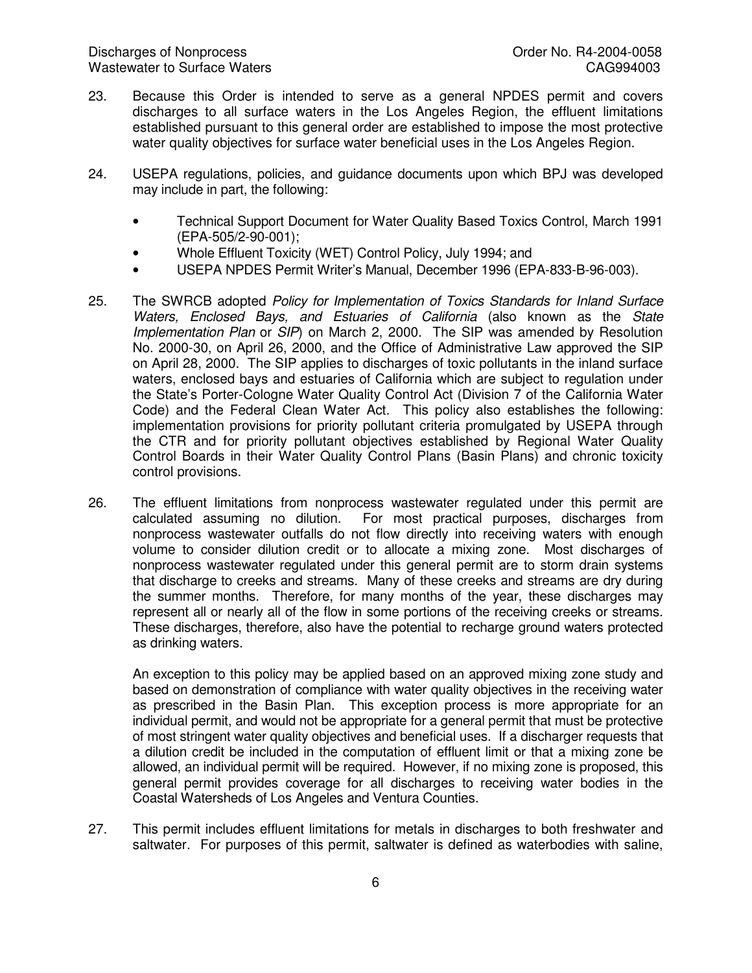- 23. Because this Order is intended to serve as a general NPDES permit and covers discharges to all surface waters in the Los Angeles Region, the effluent limitations established pursuant to this general order are established to impose the most protective water quality objectives for surface water beneficial uses in the Los Angeles Region.
- 24. USEPA regulations, policies, and guidance documents upon which BPJ was developed may include in part, the following:
	- Technical Support Document for Water Quality Based Toxics Control, March 1991 (EPA-505/2-90-001);
	- Whole Effluent Toxicity (WET) Control Policy, July 1994; and
	- USEPA NPDES Permit Writer's Manual, December 1996 (EPA-833-B-96-003).
- 25. The SWRCB adopted *Policy for Implementation of Toxics Standards for Inland Surface Waters, Enclosed Bays, and Estuaries of California* (also known as the *State Implementation Plan* or *SIP*) on March 2, 2000. The SIP was amended by Resolution No. 2000-30, on April 26, 2000, and the Office of Administrative Law approved the SIP on April 28, 2000. The SIP applies to discharges of toxic pollutants in the inland surface waters, enclosed bays and estuaries of California which are subject to regulation under the State's Porter-Cologne Water Quality Control Act (Division 7 of the California Water Code) and the Federal Clean Water Act. This policy also establishes the following: implementation provisions for priority pollutant criteria promulgated by USEPA through the CTR and for priority pollutant objectives established by Regional Water Quality Control Boards in their Water Quality Control Plans (Basin Plans) and chronic toxicity control provisions.
- 26. The effluent limitations from nonprocess wastewater regulated under this permit are calculated assuming no dilution. For most practical purposes, discharges from nonprocess wastewater outfalls do not flow directly into receiving waters with enough volume to consider dilution credit or to allocate a mixing zone. Most discharges of nonprocess wastewater regulated under this general permit are to storm drain systems that discharge to creeks and streams. Many of these creeks and streams are dry during the summer months. Therefore, for many months of the year, these discharges may represent all or nearly all of the flow in some portions of the receiving creeks or streams. These discharges, therefore, also have the potential to recharge ground waters protected as drinking waters.

An exception to this policy may be applied based on an approved mixing zone study and based on demonstration of compliance with water quality objectives in the receiving water as prescribed in the Basin Plan. This exception process is more appropriate for an individual permit, and would not be appropriate for a general permit that must be protective of most stringent water quality objectives and beneficial uses. If a discharger requests that a dilution credit be included in the computation of effluent limit or that a mixing zone be allowed, an individual permit will be required. However, if no mixing zone is proposed, this general permit provides coverage for all discharges to receiving water bodies in the Coastal Watersheds of Los Angeles and Ventura Counties.

27. This permit includes effluent limitations for metals in discharges to both freshwater and saltwater. For purposes of this permit, saltwater is defined as waterbodies with saline,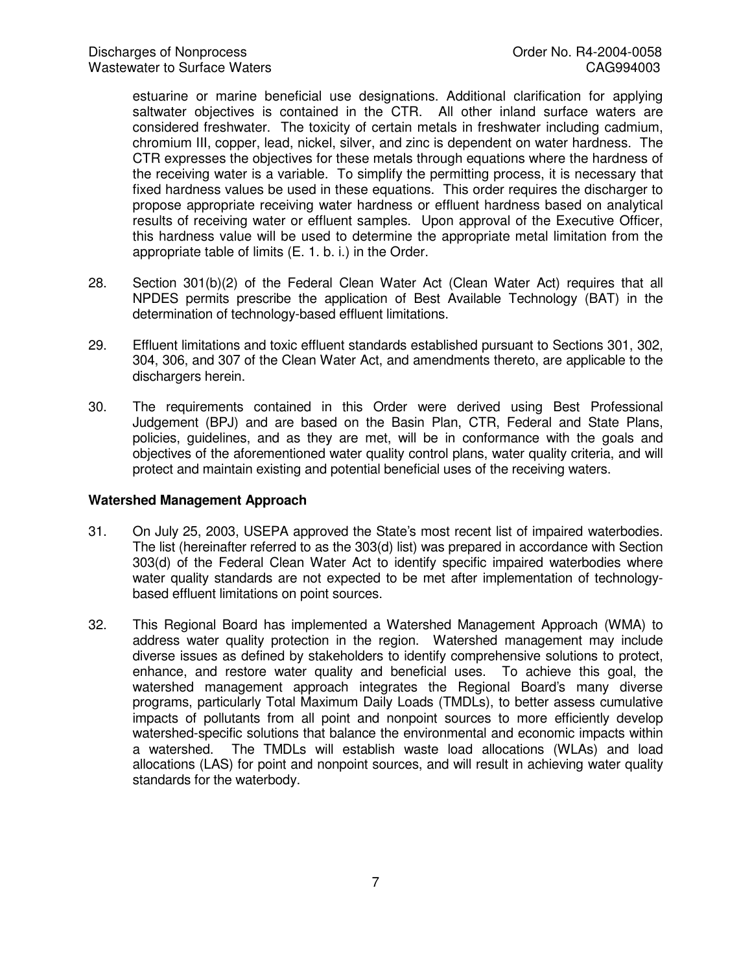estuarine or marine beneficial use designations. Additional clarification for applying saltwater objectives is contained in the CTR. All other inland surface waters are considered freshwater. The toxicity of certain metals in freshwater including cadmium, chromium III, copper, lead, nickel, silver, and zinc is dependent on water hardness. The CTR expresses the objectives for these metals through equations where the hardness of the receiving water is a variable. To simplify the permitting process, it is necessary that fixed hardness values be used in these equations. This order requires the discharger to propose appropriate receiving water hardness or effluent hardness based on analytical results of receiving water or effluent samples. Upon approval of the Executive Officer, this hardness value will be used to determine the appropriate metal limitation from the appropriate table of limits (E. 1. b. i.) in the Order.

- 28. Section 301(b)(2) of the Federal Clean Water Act (Clean Water Act) requires that all NPDES permits prescribe the application of Best Available Technology (BAT) in the determination of technology-based effluent limitations.
- 29. Effluent limitations and toxic effluent standards established pursuant to Sections 301, 302, 304, 306, and 307 of the Clean Water Act, and amendments thereto, are applicable to the dischargers herein.
- 30. The requirements contained in this Order were derived using Best Professional Judgement (BPJ) and are based on the Basin Plan, CTR, Federal and State Plans, policies, guidelines, and as they are met, will be in conformance with the goals and objectives of the aforementioned water quality control plans, water quality criteria, and will protect and maintain existing and potential beneficial uses of the receiving waters.

#### **Watershed Management Approach**

- 31. On July 25, 2003, USEPA approved the State's most recent list of impaired waterbodies. The list (hereinafter referred to as the 303(d) list) was prepared in accordance with Section 303(d) of the Federal Clean Water Act to identify specific impaired waterbodies where water quality standards are not expected to be met after implementation of technologybased effluent limitations on point sources.
- 32. This Regional Board has implemented a Watershed Management Approach (WMA) to address water quality protection in the region. Watershed management may include diverse issues as defined by stakeholders to identify comprehensive solutions to protect, enhance, and restore water quality and beneficial uses. To achieve this goal, the watershed management approach integrates the Regional Board's many diverse programs, particularly Total Maximum Daily Loads (TMDLs), to better assess cumulative impacts of pollutants from all point and nonpoint sources to more efficiently develop watershed-specific solutions that balance the environmental and economic impacts within a watershed. The TMDLs will establish waste load allocations (WLAs) and load allocations (LAS) for point and nonpoint sources, and will result in achieving water quality standards for the waterbody.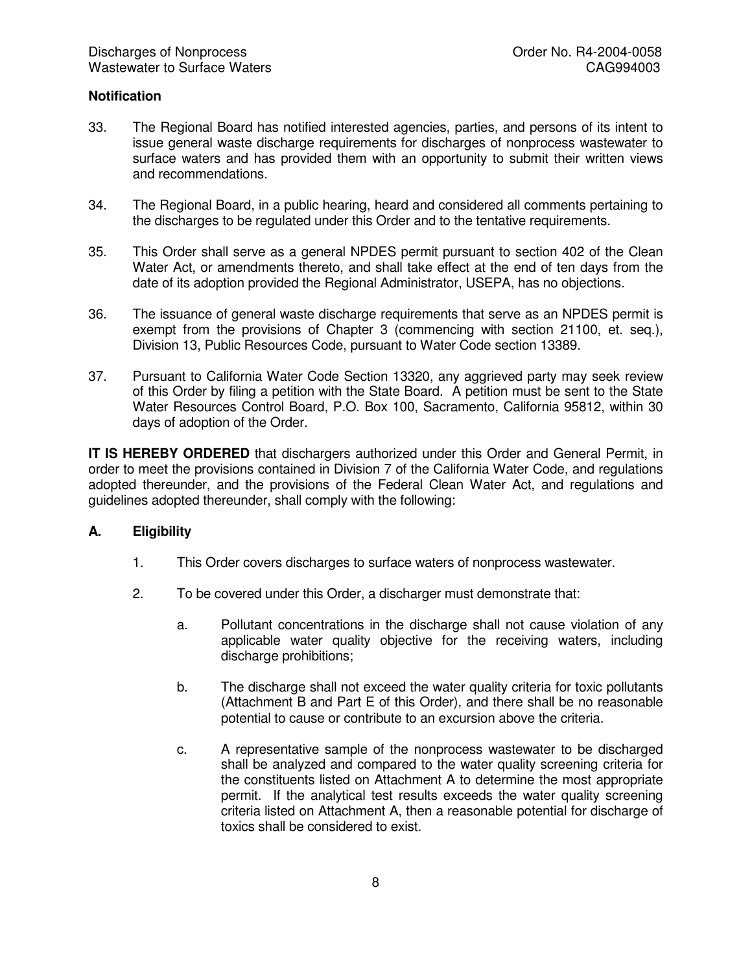#### **Notification**

- 33. The Regional Board has notified interested agencies, parties, and persons of its intent to issue general waste discharge requirements for discharges of nonprocess wastewater to surface waters and has provided them with an opportunity to submit their written views and recommendations.
- 34. The Regional Board, in a public hearing, heard and considered all comments pertaining to the discharges to be regulated under this Order and to the tentative requirements.
- 35. This Order shall serve as a general NPDES permit pursuant to section 402 of the Clean Water Act, or amendments thereto, and shall take effect at the end of ten days from the date of its adoption provided the Regional Administrator, USEPA, has no objections.
- 36. The issuance of general waste discharge requirements that serve as an NPDES permit is exempt from the provisions of Chapter 3 (commencing with section 21100, et. seq.), Division 13, Public Resources Code, pursuant to Water Code section 13389.
- 37. Pursuant to California Water Code Section 13320, any aggrieved party may seek review of this Order by filing a petition with the State Board. A petition must be sent to the State Water Resources Control Board, P.O. Box 100, Sacramento, California 95812, within 30 days of adoption of the Order.

**IT IS HEREBY ORDERED** that dischargers authorized under this Order and General Permit, in order to meet the provisions contained in Division 7 of the California Water Code, and regulations adopted thereunder, and the provisions of the Federal Clean Water Act, and regulations and guidelines adopted thereunder, shall comply with the following:

## **A. Eligibility**

- 1. This Order covers discharges to surface waters of nonprocess wastewater.
- 2. To be covered under this Order, a discharger must demonstrate that:
	- a. Pollutant concentrations in the discharge shall not cause violation of any applicable water quality objective for the receiving waters, including discharge prohibitions;
	- b. The discharge shall not exceed the water quality criteria for toxic pollutants (Attachment B and Part E of this Order), and there shall be no reasonable potential to cause or contribute to an excursion above the criteria.
	- c. A representative sample of the nonprocess wastewater to be discharged shall be analyzed and compared to the water quality screening criteria for the constituents listed on Attachment A to determine the most appropriate permit. If the analytical test results exceeds the water quality screening criteria listed on Attachment A, then a reasonable potential for discharge of toxics shall be considered to exist.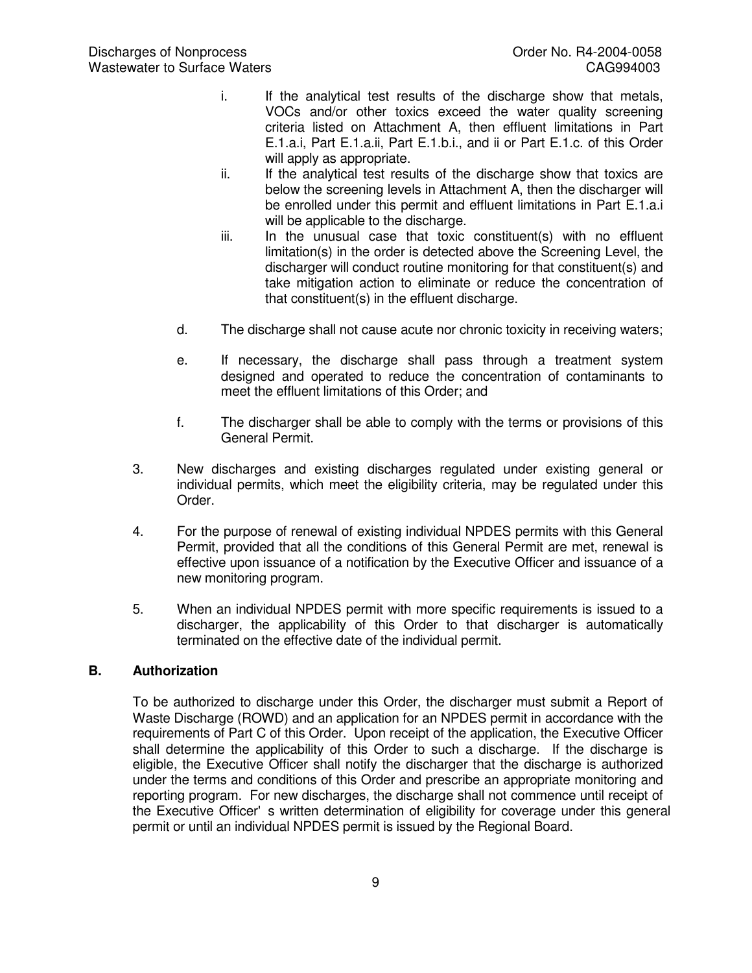- i. If the analytical test results of the discharge show that metals, VOCs and/or other toxics exceed the water quality screening criteria listed on Attachment A, then effluent limitations in Part E.1.a.i, Part E.1.a.ii, Part E.1.b.i., and ii or Part E.1.c. of this Order will apply as appropriate.
- ii. If the analytical test results of the discharge show that toxics are below the screening levels in Attachment A, then the discharger will be enrolled under this permit and effluent limitations in Part E.1.a.i will be applicable to the discharge.
- iii. In the unusual case that toxic constituent(s) with no effluent limitation(s) in the order is detected above the Screening Level, the discharger will conduct routine monitoring for that constituent(s) and take mitigation action to eliminate or reduce the concentration of that constituent(s) in the effluent discharge.
- d. The discharge shall not cause acute nor chronic toxicity in receiving waters;
- e. If necessary, the discharge shall pass through a treatment system designed and operated to reduce the concentration of contaminants to meet the effluent limitations of this Order; and
- f. The discharger shall be able to comply with the terms or provisions of this General Permit.
- 3. New discharges and existing discharges regulated under existing general or individual permits, which meet the eligibility criteria, may be regulated under this Order.
- 4. For the purpose of renewal of existing individual NPDES permits with this General Permit, provided that all the conditions of this General Permit are met, renewal is effective upon issuance of a notification by the Executive Officer and issuance of a new monitoring program.
- 5. When an individual NPDES permit with more specific requirements is issued to a discharger, the applicability of this Order to that discharger is automatically terminated on the effective date of the individual permit.

### **B. Authorization**

To be authorized to discharge under this Order, the discharger must submit a Report of Waste Discharge (ROWD) and an application for an NPDES permit in accordance with the requirements of Part C of this Order. Upon receipt of the application, the Executive Officer shall determine the applicability of this Order to such a discharge. If the discharge is eligible, the Executive Officer shall notify the discharger that the discharge is authorized under the terms and conditions of this Order and prescribe an appropriate monitoring and reporting program. For new discharges, the discharge shall not commence until receipt of the Executive Officer's written determination of eligibility for coverage under this general permit or until an individual NPDES permit is issued by the Regional Board.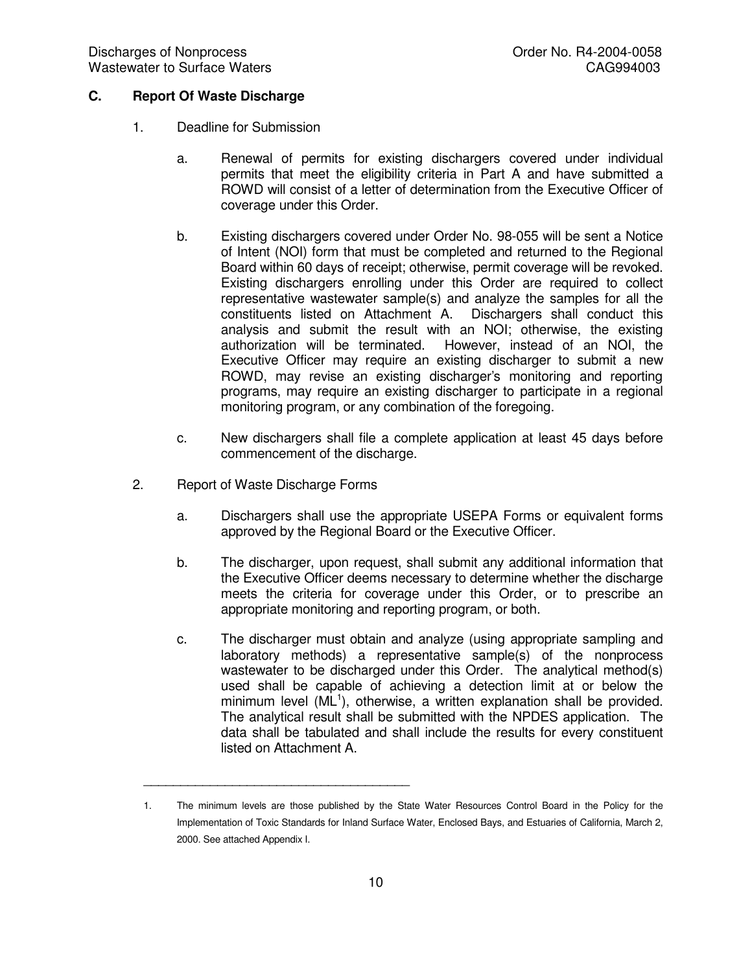## **C. Report Of Waste Discharge**

- 1. Deadline for Submission
	- a. Renewal of permits for existing dischargers covered under individual permits that meet the eligibility criteria in Part A and have submitted a ROWD will consist of a letter of determination from the Executive Officer of coverage under this Order.
	- b. Existing dischargers covered under Order No. 98-055 will be sent a Notice of Intent (NOI) form that must be completed and returned to the Regional Board within 60 days of receipt; otherwise, permit coverage will be revoked. Existing dischargers enrolling under this Order are required to collect representative wastewater sample(s) and analyze the samples for all the constituents listed on Attachment A. Dischargers shall conduct this analysis and submit the result with an NOI; otherwise, the existing authorization will be terminated. However, instead of an NOI, the Executive Officer may require an existing discharger to submit a new ROWD, may revise an existing discharger's monitoring and reporting programs, may require an existing discharger to participate in a regional monitoring program, or any combination of the foregoing.
	- c. New dischargers shall file a complete application at least 45 days before commencement of the discharge.
- 2. Report of Waste Discharge Forms

\_\_\_\_\_\_\_\_\_\_\_\_\_\_\_\_\_\_\_\_\_\_\_\_\_\_\_\_\_\_\_\_\_\_\_\_

- a. Dischargers shall use the appropriate USEPA Forms or equivalent forms approved by the Regional Board or the Executive Officer.
- b. The discharger, upon request, shall submit any additional information that the Executive Officer deems necessary to determine whether the discharge meets the criteria for coverage under this Order, or to prescribe an appropriate monitoring and reporting program, or both.
- c. The discharger must obtain and analyze (using appropriate sampling and laboratory methods) a representative sample(s) of the nonprocess wastewater to be discharged under this Order. The analytical method(s) used shall be capable of achieving a detection limit at or below the minimum level (ML<sup>1</sup>), otherwise, a written explanation shall be provided. The analytical result shall be submitted with the NPDES application. The data shall be tabulated and shall include the results for every constituent listed on Attachment A.

<sup>1.</sup> The minimum levels are those published by the State Water Resources Control Board in the Policy for the Implementation of Toxic Standards for Inland Surface Water, Enclosed Bays, and Estuaries of California, March 2, 2000. See attached Appendix I.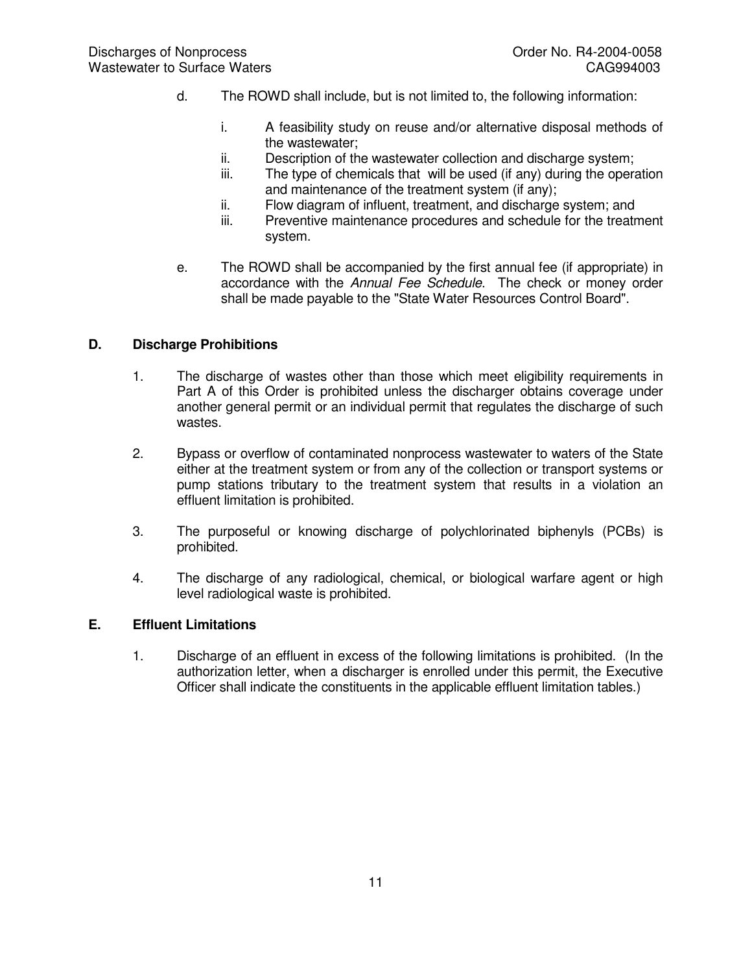- d. The ROWD shall include, but is not limited to, the following information:
	- i. A feasibility study on reuse and/or alternative disposal methods of the wastewater;
	- ii. Description of the wastewater collection and discharge system;
	- iii. The type of chemicals that will be used (if any) during the operation and maintenance of the treatment system (if any);
	- ii. Flow diagram of influent, treatment, and discharge system; and
	- iii. Preventive maintenance procedures and schedule for the treatment system.
- e. The ROWD shall be accompanied by the first annual fee (if appropriate) in accordance with the *Annual Fee Schedule*. The check or money order shall be made payable to the "State Water Resources Control Board".

#### **D. Discharge Prohibitions**

- 1. The discharge of wastes other than those which meet eligibility requirements in Part A of this Order is prohibited unless the discharger obtains coverage under another general permit or an individual permit that regulates the discharge of such wastes.
- 2. Bypass or overflow of contaminated nonprocess wastewater to waters of the State either at the treatment system or from any of the collection or transport systems or pump stations tributary to the treatment system that results in a violation an effluent limitation is prohibited.
- 3. The purposeful or knowing discharge of polychlorinated biphenyls (PCBs) is prohibited.
- 4. The discharge of any radiological, chemical, or biological warfare agent or high level radiological waste is prohibited.

#### **E. Effluent Limitations**

1. Discharge of an effluent in excess of the following limitations is prohibited. (In the authorization letter, when a discharger is enrolled under this permit, the Executive Officer shall indicate the constituents in the applicable effluent limitation tables.)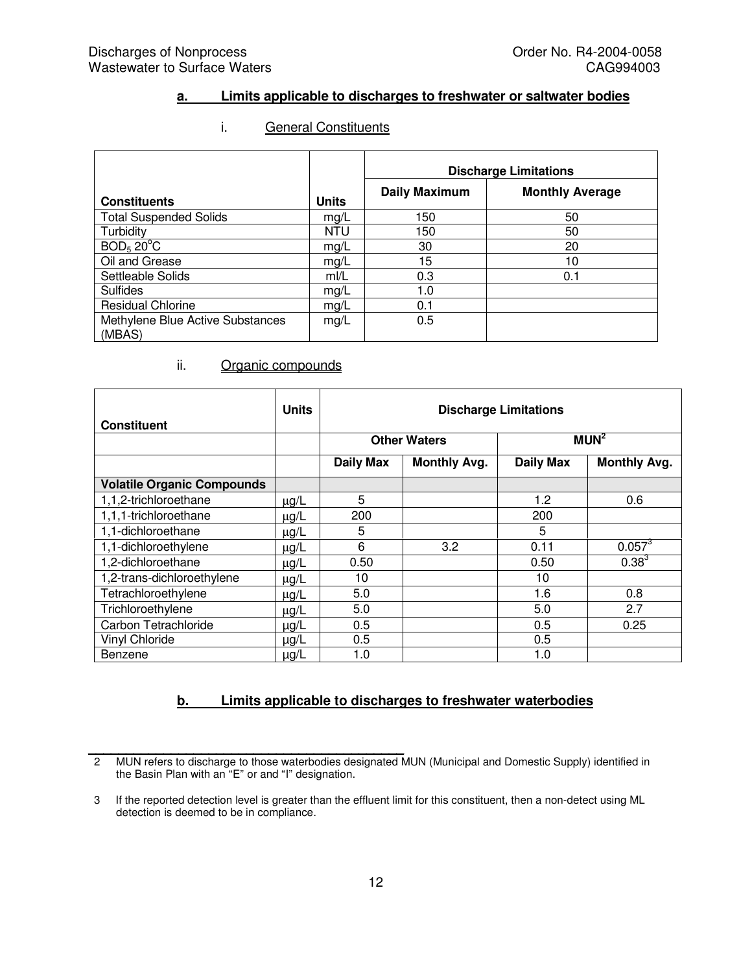### **a. Limits applicable to discharges to freshwater or saltwater bodies**

#### i. General Constituents

|                                            |              | <b>Discharge Limitations</b> |                        |  |
|--------------------------------------------|--------------|------------------------------|------------------------|--|
| <b>Constituents</b>                        | <b>Units</b> | <b>Daily Maximum</b>         | <b>Monthly Average</b> |  |
| <b>Total Suspended Solids</b>              | mg/L         | 150                          | 50                     |  |
| Turbidity                                  | <b>NTU</b>   | 150                          | 50                     |  |
| BOD <sub>5</sub> 20 <sup>o</sup> C         | mg/L         | 30                           | 20                     |  |
| Oil and Grease                             | mg/L         | 15                           | 10                     |  |
| Settleable Solids                          | m/L          | 0.3                          | 0.1                    |  |
| <b>Sulfides</b>                            | mg/L         | 1.0                          |                        |  |
| <b>Residual Chlorine</b>                   | mg/L         | 0.1                          |                        |  |
| Methylene Blue Active Substances<br>(MBAS) | mg/L         | 0.5                          |                        |  |

## ii. Organic compounds

 $\mathcal{L}=\{1,2,3,4,5\}$ 

| <b>Constituent</b>                | <b>Units</b> | <b>Discharge Limitations</b> |                     |                  |                     |  |
|-----------------------------------|--------------|------------------------------|---------------------|------------------|---------------------|--|
|                                   |              | <b>Other Waters</b>          |                     | MUN <sup>2</sup> |                     |  |
|                                   |              | <b>Daily Max</b>             | <b>Monthly Avg.</b> | <b>Daily Max</b> | <b>Monthly Avg.</b> |  |
| <b>Volatile Organic Compounds</b> |              |                              |                     |                  |                     |  |
| 1,1,2-trichloroethane             | $\mu$ g/L    | 5                            |                     | 1.2              | 0.6                 |  |
| 1,1,1-trichloroethane             | $\mu$ g/L    | 200                          |                     | 200              |                     |  |
| 1,1-dichloroethane                | $\mu$ g/L    | 5                            |                     | 5                |                     |  |
| 1,1-dichloroethylene              | $\mu$ g/L    | 6                            | 3.2                 | 0.11             | $0.057^{3}$         |  |
| 1,2-dichloroethane                | $\mu$ g/L    | 0.50                         |                     | 0.50             | $0.38^{3}$          |  |
| 1,2-trans-dichloroethylene        | $\mu$ g/L    | 10                           |                     | 10               |                     |  |
| Tetrachloroethylene               | $\mu$ g/L    | 5.0                          |                     | 1.6              | 0.8                 |  |
| Trichloroethylene                 | $\mu$ g/L    | 5.0                          |                     | 5.0              | 2.7                 |  |
| Carbon Tetrachloride              | $\mu$ g/L    | 0.5                          |                     | 0.5              | 0.25                |  |
| <b>Vinyl Chloride</b>             | $\mu$ g/L    | 0.5                          |                     | 0.5              |                     |  |
| Benzene                           | $\mu$ g/L    | 1.0                          |                     | 1.0              |                     |  |

### **b. Limits applicable to discharges to freshwater waterbodies**

<sup>2</sup> MUN refers to discharge to those waterbodies designated MUN (Municipal and Domestic Supply) identified in the Basin Plan with an "E" or and "I" designation.

<sup>3</sup> If the reported detection level is greater than the effluent limit for this constituent, then a non-detect using ML detection is deemed to be in compliance.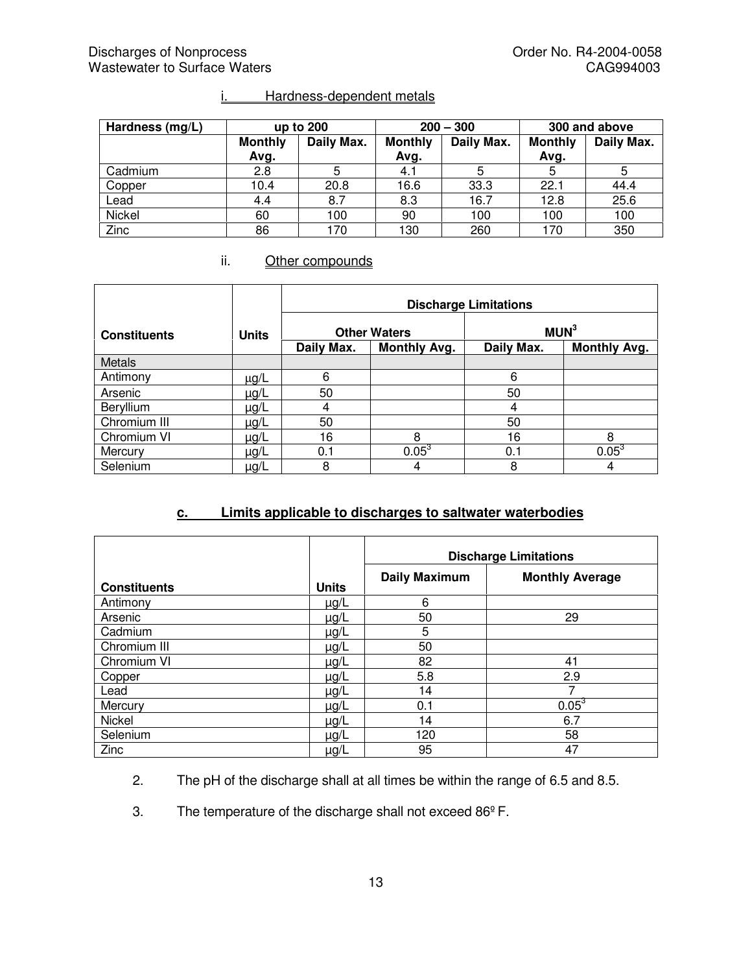| Hardness (mg/L) | up to 200              |            | $200 - 300$            |            | 300 and above          |            |
|-----------------|------------------------|------------|------------------------|------------|------------------------|------------|
|                 | <b>Monthly</b><br>Avg. | Daily Max. | <b>Monthly</b><br>Avg. | Daily Max. | <b>Monthly</b><br>Avg. | Daily Max. |
| Cadmium         | 2.8                    |            | 4.1                    | 5          | 5                      | 5          |
| Copper          | 10.4                   | 20.8       | 16.6                   | 33.3       | 22.1                   | 44.4       |
| Lead            | 4.4                    | 8.7        | 8.3                    | 16.7       | 12.8                   | 25.6       |
| Nickel          | 60                     | 100        | 90                     | 100        | 100                    | 100        |
| Zinc            | 86                     | 170        | 130                    | 260        | 170                    | 350        |

# i. Hardness-dependent metals

## ii. Other compounds

|                     |              | <b>Discharge Limitations</b> |                     |                  |                     |  |
|---------------------|--------------|------------------------------|---------------------|------------------|---------------------|--|
| <b>Constituents</b> | <b>Units</b> | <b>Other Waters</b>          |                     | MUN <sup>3</sup> |                     |  |
|                     |              | Daily Max.                   | <b>Monthly Avg.</b> | Daily Max.       | <b>Monthly Avg.</b> |  |
| <b>Metals</b>       |              |                              |                     |                  |                     |  |
| Antimony            | $\mu$ g/L    | 6                            |                     | 6                |                     |  |
| Arsenic             | $\mu$ g/L    | 50                           |                     | 50               |                     |  |
| Beryllium           | $\mu$ g/L    | 4                            |                     | 4                |                     |  |
| Chromium III        | $\mu$ g/L    | 50                           |                     | 50               |                     |  |
| Chromium VI         | $\mu$ g/L    | 16                           | 8                   | 16               | 8                   |  |
| Mercury             | $\mu$ g/L    | 0.1                          | $0.05^3$            | 0.1              | $0.05^3$            |  |
| Selenium            | $\mu$ g/L    | 8                            | 4                   | 8                | 4                   |  |

## **c. Limits applicable to discharges to saltwater waterbodies**

|                     |              | <b>Discharge Limitations</b> |                        |  |
|---------------------|--------------|------------------------------|------------------------|--|
| <b>Constituents</b> | <b>Units</b> | <b>Daily Maximum</b>         | <b>Monthly Average</b> |  |
| Antimony            | µg/L         | 6                            |                        |  |
| Arsenic             | $\mu$ g/L    | 50                           | 29                     |  |
| Cadmium             | µg/L         | 5                            |                        |  |
| Chromium III        | $\mu$ g/L    | 50                           |                        |  |
| Chromium VI         | µg/L         | 82                           | 41                     |  |
| Copper              | $\mu$ g/L    | 5.8                          | 2.9                    |  |
| Lead                | µg/L         | 14                           |                        |  |
| Mercury             | $\mu$ g/L    | 0.1                          | $0.05^3$               |  |
| Nickel              | µg/L         | 14                           | 6.7                    |  |
| Selenium            | µg/L         | 120                          | 58                     |  |
| Zinc                | $\mu$ g/L    | 95                           | 47                     |  |

2. The pH of the discharge shall at all times be within the range of 6.5 and 8.5.

3. The temperature of the discharge shall not exceed 86ºF.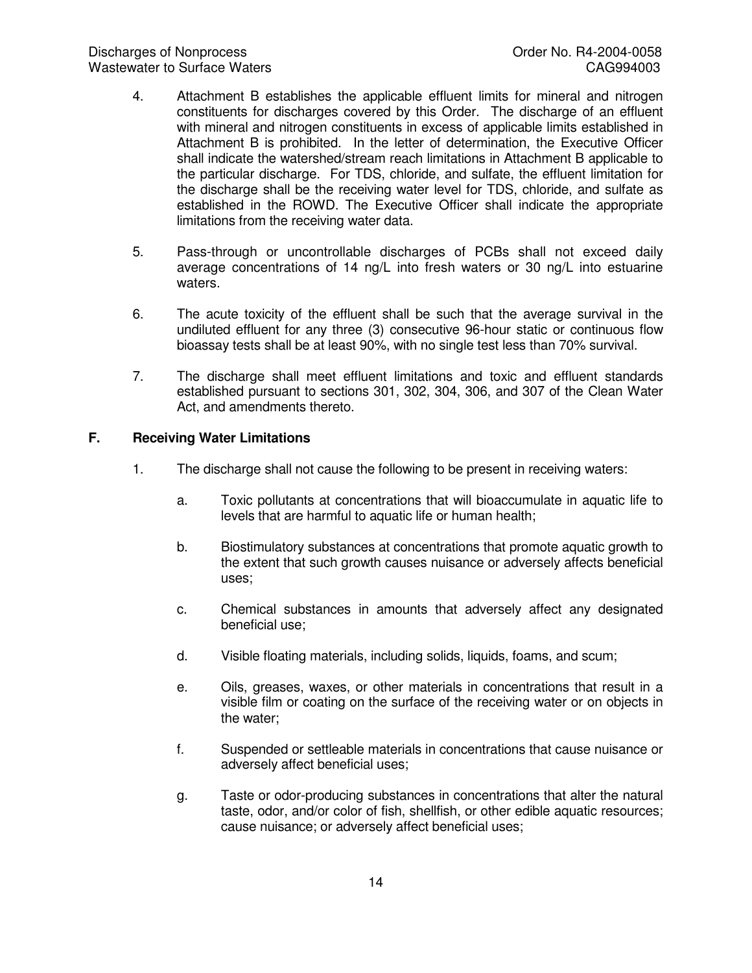- 4. Attachment B establishes the applicable effluent limits for mineral and nitrogen constituents for discharges covered by this Order. The discharge of an effluent with mineral and nitrogen constituents in excess of applicable limits established in Attachment B is prohibited. In the letter of determination, the Executive Officer shall indicate the watershed/stream reach limitations in Attachment B applicable to the particular discharge. For TDS, chloride, and sulfate, the effluent limitation for the discharge shall be the receiving water level for TDS, chloride, and sulfate as established in the ROWD. The Executive Officer shall indicate the appropriate limitations from the receiving water data.
- 5. Pass-through or uncontrollable discharges of PCBs shall not exceed daily average concentrations of 14 ng/L into fresh waters or 30 ng/L into estuarine waters.
- 6. The acute toxicity of the effluent shall be such that the average survival in the undiluted effluent for any three (3) consecutive 96-hour static or continuous flow bioassay tests shall be at least 90%, with no single test less than 70% survival.
- 7. The discharge shall meet effluent limitations and toxic and effluent standards established pursuant to sections 301, 302, 304, 306, and 307 of the Clean Water Act, and amendments thereto.

#### **F. Receiving Water Limitations**

- 1. The discharge shall not cause the following to be present in receiving waters:
	- a. Toxic pollutants at concentrations that will bioaccumulate in aquatic life to levels that are harmful to aquatic life or human health;
	- b. Biostimulatory substances at concentrations that promote aquatic growth to the extent that such growth causes nuisance or adversely affects beneficial uses;
	- c. Chemical substances in amounts that adversely affect any designated beneficial use;
	- d. Visible floating materials, including solids, liquids, foams, and scum;
	- e. Oils, greases, waxes, or other materials in concentrations that result in a visible film or coating on the surface of the receiving water or on objects in the water;
	- f. Suspended or settleable materials in concentrations that cause nuisance or adversely affect beneficial uses;
	- g. Taste or odor-producing substances in concentrations that alter the natural taste, odor, and/or color of fish, shellfish, or other edible aquatic resources; cause nuisance; or adversely affect beneficial uses;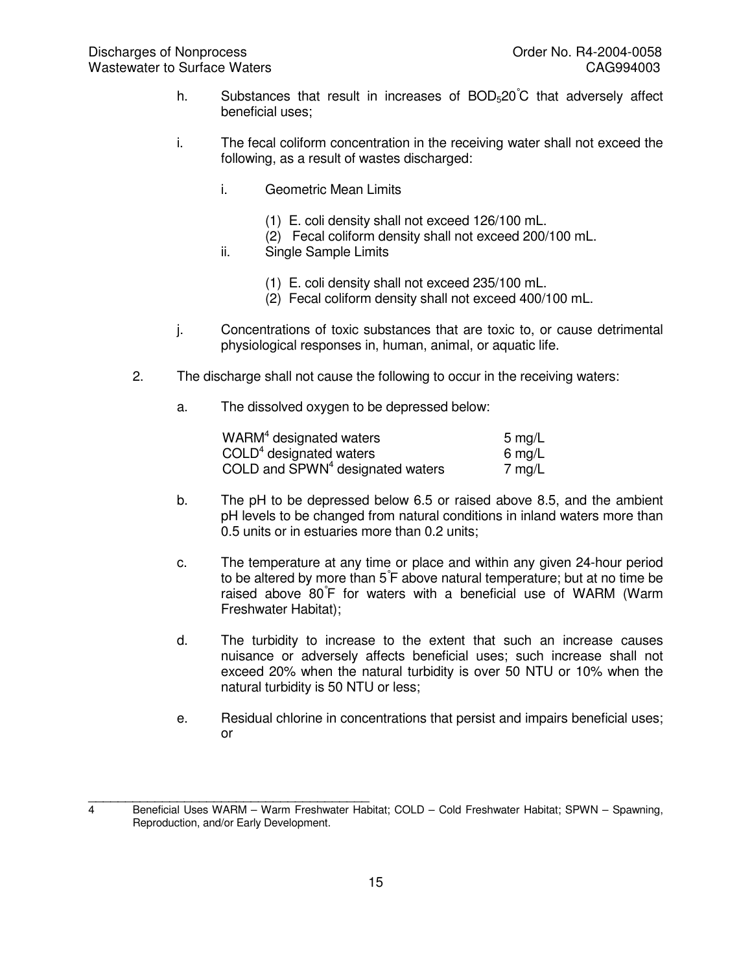- h. Substances that result in increases of  $BOD<sub>5</sub>20^{\circ}C$  that adversely affect beneficial uses;
- i. The fecal coliform concentration in the receiving water shall not exceed the following, as a result of wastes discharged:
	- i. Geometric Mean Limits
		- (1) E. coli density shall not exceed 126/100 mL.
		- (2) Fecal coliform density shall not exceed 200/100 mL.
	- ii. Single Sample Limits
		- (1) E. coli density shall not exceed 235/100 mL.
		- (2) Fecal coliform density shall not exceed 400/100 mL.
- j. Concentrations of toxic substances that are toxic to, or cause detrimental physiological responses in, human, animal, or aquatic life.
- 2. The discharge shall not cause the following to occur in the receiving waters:
	- a. The dissolved oxygen to be depressed below:

| WARM <sup>4</sup> designated waters          | 5 mg/L |
|----------------------------------------------|--------|
| $COLD4$ designated waters                    | 6 mg/L |
| COLD and SPWN <sup>4</sup> designated waters | 7 mg/L |

- b. The pH to be depressed below 6.5 or raised above 8.5, and the ambient pH levels to be changed from natural conditions in inland waters more than 0.5 units or in estuaries more than 0.2 units;
- c. The temperature at any time or place and within any given 24-hour period to be altered by more than 5° F above natural temperature; but at no time be raised above 80° F for waters with a beneficial use of WARM (Warm Freshwater Habitat);
- d. The turbidity to increase to the extent that such an increase causes nuisance or adversely affects beneficial uses; such increase shall not exceed 20% when the natural turbidity is over 50 NTU or 10% when the natural turbidity is 50 NTU or less;
- e. Residual chlorine in concentrations that persist and impairs beneficial uses; or

\_\_\_\_\_\_\_\_\_\_\_\_\_\_\_\_\_\_\_\_\_\_\_\_\_\_\_\_\_\_\_\_\_\_\_\_\_\_ 4 Beneficial Uses WARM – Warm Freshwater Habitat; COLD – Cold Freshwater Habitat; SPWN – Spawning, Reproduction, and/or Early Development.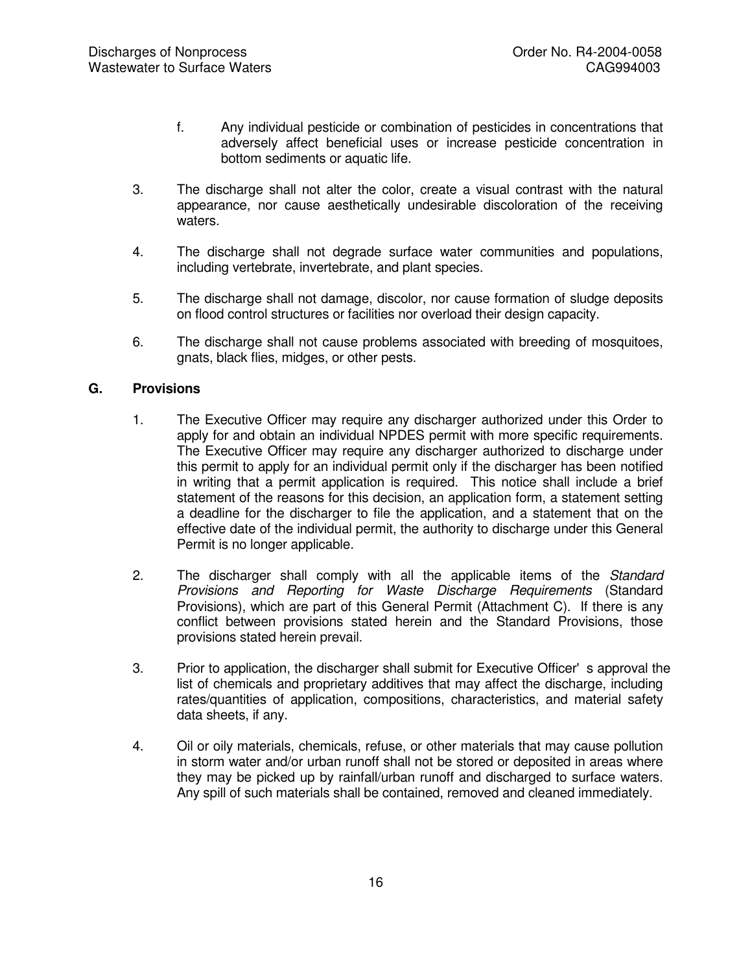- f. Any individual pesticide or combination of pesticides in concentrations that adversely affect beneficial uses or increase pesticide concentration in bottom sediments or aquatic life.
- 3. The discharge shall not alter the color, create a visual contrast with the natural appearance, nor cause aesthetically undesirable discoloration of the receiving waters.
- 4. The discharge shall not degrade surface water communities and populations, including vertebrate, invertebrate, and plant species.
- 5. The discharge shall not damage, discolor, nor cause formation of sludge deposits on flood control structures or facilities nor overload their design capacity.
- 6. The discharge shall not cause problems associated with breeding of mosquitoes, gnats, black flies, midges, or other pests.

## **G. Provisions**

- 1. The Executive Officer may require any discharger authorized under this Order to apply for and obtain an individual NPDES permit with more specific requirements. The Executive Officer may require any discharger authorized to discharge under this permit to apply for an individual permit only if the discharger has been notified in writing that a permit application is required. This notice shall include a brief statement of the reasons for this decision, an application form, a statement setting a deadline for the discharger to file the application, and a statement that on the effective date of the individual permit, the authority to discharge under this General Permit is no longer applicable.
- 2. The discharger shall comply with all the applicable items of the *Standard Provisions and Reporting for Waste Discharge Requirements* (Standard Provisions), which are part of this General Permit (Attachment C). If there is any conflict between provisions stated herein and the Standard Provisions, those provisions stated herein prevail.
- 3. Prior to application, the discharger shall submit for Executive Officer's approval the list of chemicals and proprietary additives that may affect the discharge, including rates/quantities of application, compositions, characteristics, and material safety data sheets, if any.
- 4. Oil or oily materials, chemicals, refuse, or other materials that may cause pollution in storm water and/or urban runoff shall not be stored or deposited in areas where they may be picked up by rainfall/urban runoff and discharged to surface waters. Any spill of such materials shall be contained, removed and cleaned immediately.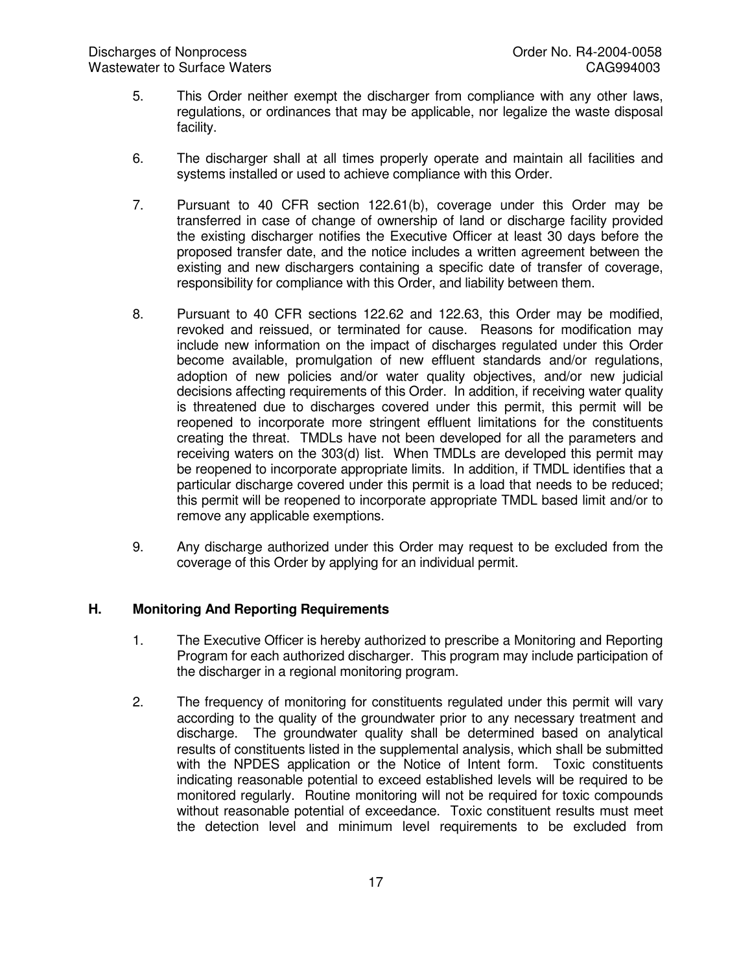- 5. This Order neither exempt the discharger from compliance with any other laws, regulations, or ordinances that may be applicable, nor legalize the waste disposal facility.
- 6. The discharger shall at all times properly operate and maintain all facilities and systems installed or used to achieve compliance with this Order.
- 7. Pursuant to 40 CFR section 122.61(b), coverage under this Order may be transferred in case of change of ownership of land or discharge facility provided the existing discharger notifies the Executive Officer at least 30 days before the proposed transfer date, and the notice includes a written agreement between the existing and new dischargers containing a specific date of transfer of coverage, responsibility for compliance with this Order, and liability between them.
- 8. Pursuant to 40 CFR sections 122.62 and 122.63, this Order may be modified, revoked and reissued, or terminated for cause. Reasons for modification may include new information on the impact of discharges regulated under this Order become available, promulgation of new effluent standards and/or regulations, adoption of new policies and/or water quality objectives, and/or new judicial decisions affecting requirements of this Order. In addition, if receiving water quality is threatened due to discharges covered under this permit, this permit will be reopened to incorporate more stringent effluent limitations for the constituents creating the threat. TMDLs have not been developed for all the parameters and receiving waters on the 303(d) list. When TMDLs are developed this permit may be reopened to incorporate appropriate limits. In addition, if TMDL identifies that a particular discharge covered under this permit is a load that needs to be reduced; this permit will be reopened to incorporate appropriate TMDL based limit and/or to remove any applicable exemptions.
- 9. Any discharge authorized under this Order may request to be excluded from the coverage of this Order by applying for an individual permit.

## **H. Monitoring And Reporting Requirements**

- 1. The Executive Officer is hereby authorized to prescribe a Monitoring and Reporting Program for each authorized discharger. This program may include participation of the discharger in a regional monitoring program.
- 2. The frequency of monitoring for constituents regulated under this permit will vary according to the quality of the groundwater prior to any necessary treatment and discharge. The groundwater quality shall be determined based on analytical results of constituents listed in the supplemental analysis, which shall be submitted with the NPDES application or the Notice of Intent form. Toxic constituents indicating reasonable potential to exceed established levels will be required to be monitored regularly. Routine monitoring will not be required for toxic compounds without reasonable potential of exceedance. Toxic constituent results must meet the detection level and minimum level requirements to be excluded from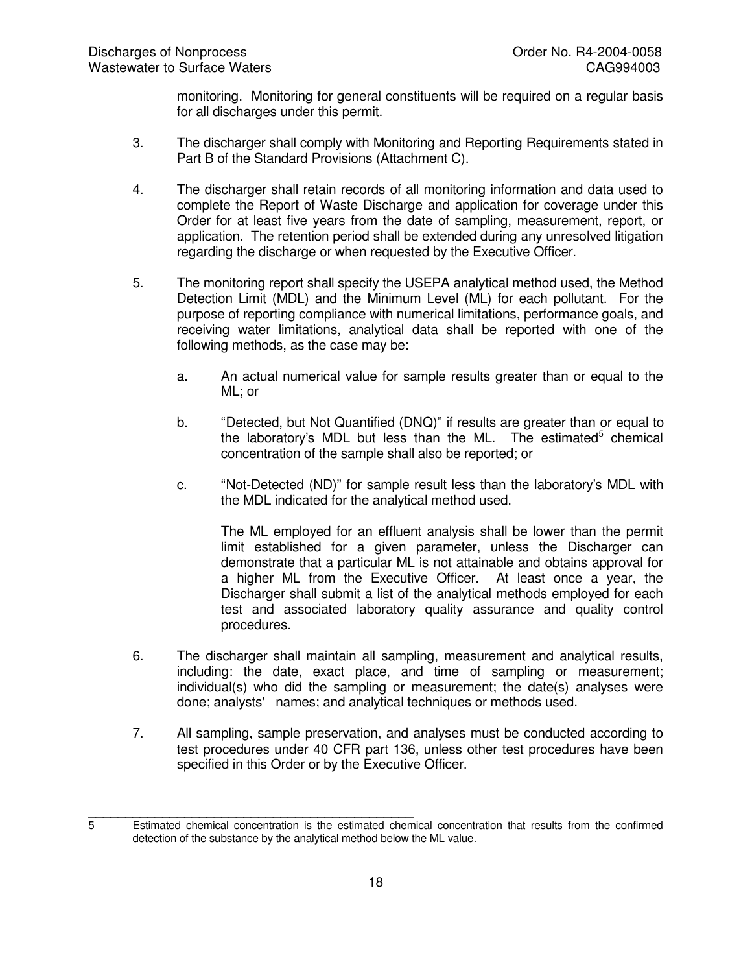monitoring. Monitoring for general constituents will be required on a regular basis for all discharges under this permit.

- 3. The discharger shall comply with Monitoring and Reporting Requirements stated in Part B of the Standard Provisions (Attachment C).
- 4. The discharger shall retain records of all monitoring information and data used to complete the Report of Waste Discharge and application for coverage under this Order for at least five years from the date of sampling, measurement, report, or application. The retention period shall be extended during any unresolved litigation regarding the discharge or when requested by the Executive Officer.
- 5. The monitoring report shall specify the USEPA analytical method used, the Method Detection Limit (MDL) and the Minimum Level (ML) for each pollutant. For the purpose of reporting compliance with numerical limitations, performance goals, and receiving water limitations, analytical data shall be reported with one of the following methods, as the case may be:
	- a. An actual numerical value for sample results greater than or equal to the ML; or
	- b. "Detected, but Not Quantified (DNQ)" if results are greater than or equal to the laboratory's MDL but less than the ML. The estimated $5$  chemical concentration of the sample shall also be reported; or
	- c. "Not-Detected (ND)" for sample result less than the laboratory's MDL with the MDL indicated for the analytical method used.

The ML employed for an effluent analysis shall be lower than the permit limit established for a given parameter, unless the Discharger can demonstrate that a particular ML is not attainable and obtains approval for a higher ML from the Executive Officer. At least once a year, the Discharger shall submit a list of the analytical methods employed for each test and associated laboratory quality assurance and quality control procedures.

- 6. The discharger shall maintain all sampling, measurement and analytical results, including: the date, exact place, and time of sampling or measurement; individual(s) who did the sampling or measurement; the date(s) analyses were done; analysts' names; and analytical techniques or methods used.
- 7. All sampling, sample preservation, and analyses must be conducted according to test procedures under 40 CFR part 136, unless other test procedures have been specified in this Order or by the Executive Officer.

\_\_\_\_\_\_\_\_\_\_\_\_\_\_\_\_\_\_\_\_\_\_\_\_\_\_\_\_\_\_\_\_\_\_\_\_\_\_\_\_\_\_\_\_ 5 Estimated chemical concentration is the estimated chemical concentration that results from the confirmed detection of the substance by the analytical method below the ML value.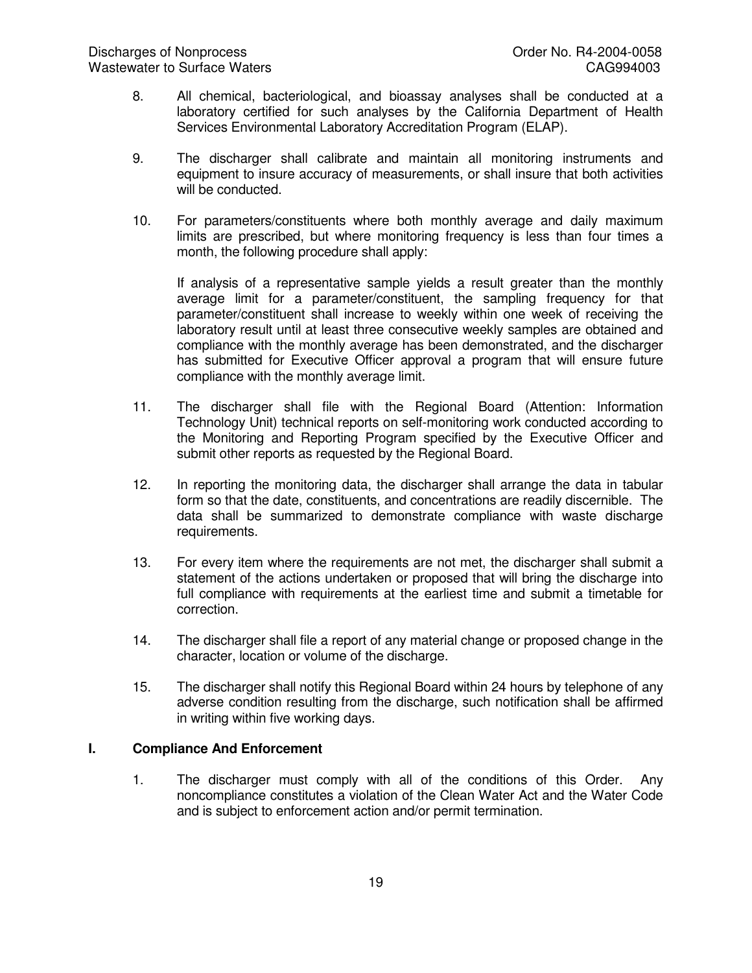- 8. All chemical, bacteriological, and bioassay analyses shall be conducted at a laboratory certified for such analyses by the California Department of Health Services Environmental Laboratory Accreditation Program (ELAP).
- 9. The discharger shall calibrate and maintain all monitoring instruments and equipment to insure accuracy of measurements, or shall insure that both activities will be conducted.
- 10. For parameters/constituents where both monthly average and daily maximum limits are prescribed, but where monitoring frequency is less than four times a month, the following procedure shall apply:

If analysis of a representative sample yields a result greater than the monthly average limit for a parameter/constituent, the sampling frequency for that parameter/constituent shall increase to weekly within one week of receiving the laboratory result until at least three consecutive weekly samples are obtained and compliance with the monthly average has been demonstrated, and the discharger has submitted for Executive Officer approval a program that will ensure future compliance with the monthly average limit.

- 11. The discharger shall file with the Regional Board (Attention: Information Technology Unit) technical reports on self-monitoring work conducted according to the Monitoring and Reporting Program specified by the Executive Officer and submit other reports as requested by the Regional Board.
- 12. In reporting the monitoring data, the discharger shall arrange the data in tabular form so that the date, constituents, and concentrations are readily discernible. The data shall be summarized to demonstrate compliance with waste discharge requirements.
- 13. For every item where the requirements are not met, the discharger shall submit a statement of the actions undertaken or proposed that will bring the discharge into full compliance with requirements at the earliest time and submit a timetable for correction.
- 14. The discharger shall file a report of any material change or proposed change in the character, location or volume of the discharge.
- 15. The discharger shall notify this Regional Board within 24 hours by telephone of any adverse condition resulting from the discharge, such notification shall be affirmed in writing within five working days.

## **I. Compliance And Enforcement**

1. The discharger must comply with all of the conditions of this Order. Any noncompliance constitutes a violation of the Clean Water Act and the Water Code and is subject to enforcement action and/or permit termination.